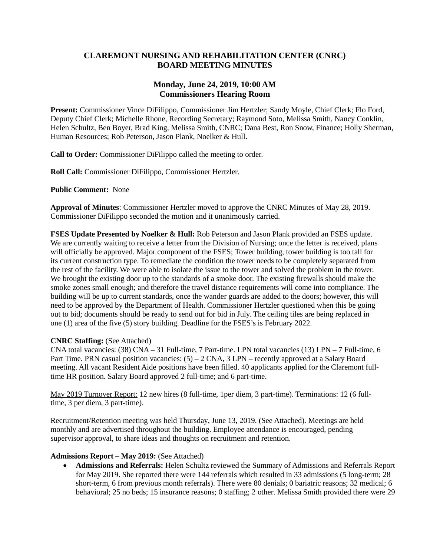### **CLAREMONT NURSING AND REHABILITATION CENTER (CNRC) BOARD MEETING MINUTES**

### **Monday, June 24, 2019, 10:00 AM Commissioners Hearing Room**

**Present:** Commissioner Vince DiFilippo, Commissioner Jim Hertzler; Sandy Moyle, Chief Clerk; Flo Ford, Deputy Chief Clerk; Michelle Rhone, Recording Secretary; Raymond Soto, Melissa Smith, Nancy Conklin, Helen Schultz, Ben Boyer, Brad King, Melissa Smith, CNRC; Dana Best, Ron Snow, Finance; Holly Sherman, Human Resources; Rob Peterson, Jason Plank, Noelker & Hull.

**Call to Order:** Commissioner DiFilippo called the meeting to order.

**Roll Call:** Commissioner DiFilippo, Commissioner Hertzler.

**Public Comment:** None

**Approval of Minutes**: Commissioner Hertzler moved to approve the CNRC Minutes of May 28, 2019. Commissioner DiFilippo seconded the motion and it unanimously carried.

**FSES Update Presented by Noelker & Hull:** Rob Peterson and Jason Plank provided an FSES update. We are currently waiting to receive a letter from the Division of Nursing; once the letter is received, plans will officially be approved. Major component of the FSES; Tower building, tower building is too tall for its current construction type. To remediate the condition the tower needs to be completely separated from the rest of the facility. We were able to isolate the issue to the tower and solved the problem in the tower. We brought the existing door up to the standards of a smoke door. The existing firewalls should make the smoke zones small enough; and therefore the travel distance requirements will come into compliance. The building will be up to current standards, once the wander guards are added to the doors; however, this will need to be approved by the Department of Health. Commissioner Hertzler questioned when this be going out to bid; documents should be ready to send out for bid in July. The ceiling tiles are being replaced in one (1) area of the five (5) story building. Deadline for the FSES's is February 2022.

### **CNRC Staffing:** (See Attached)

CNA total vacancies: (38) CNA – 31 Full-time, 7 Part-time. LPN total vacancies (13) LPN – 7 Full-time, 6 Part Time. PRN casual position vacancies:  $(5) - 2$  CNA,  $3$  LPN – recently approved at a Salary Board meeting. All vacant Resident Aide positions have been filled. 40 applicants applied for the Claremont fulltime HR position. Salary Board approved 2 full-time; and 6 part-time.

May 2019 Turnover Report: 12 new hires (8 full-time, 1per diem, 3 part-time). Terminations: 12 (6 fulltime, 3 per diem, 3 part-time).

Recruitment/Retention meeting was held Thursday, June 13, 2019. (See Attached). Meetings are held monthly and are advertised throughout the building. Employee attendance is encouraged, pending supervisor approval, to share ideas and thoughts on recruitment and retention.

### **Admissions Report – May 2019:** (See Attached)

• **Admissions and Referrals:** Helen Schultz reviewed the Summary of Admissions and Referrals Report for May 2019. She reported there were 144 referrals which resulted in 33 admissions (5 long-term; 28 short-term, 6 from previous month referrals). There were 80 denials; 0 bariatric reasons; 32 medical; 6 behavioral; 25 no beds; 15 insurance reasons; 0 staffing; 2 other. Melissa Smith provided there were 29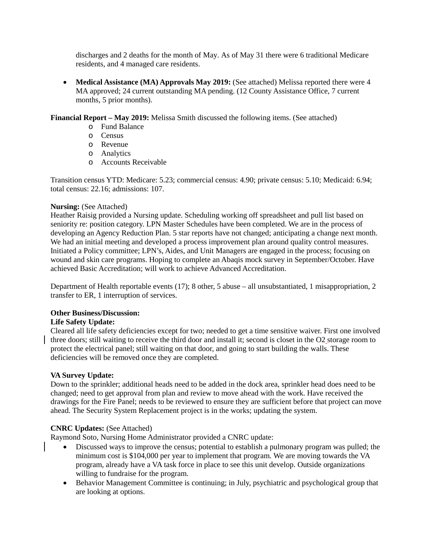discharges and 2 deaths for the month of May. As of May 31 there were 6 traditional Medicare residents, and 4 managed care residents.

• **Medical Assistance (MA) Approvals May 2019:** (See attached) Melissa reported there were 4 MA approved; 24 current outstanding MA pending. (12 County Assistance Office, 7 current months, 5 prior months).

**Financial Report – May 2019:** Melissa Smith discussed the following items. (See attached)

- o Fund Balance
- o Census
- o Revenue
- o Analytics
- o Accounts Receivable

Transition census YTD: Medicare: 5.23; commercial census: 4.90; private census: 5.10; Medicaid: 6.94; total census: 22.16; admissions: 107.

### **Nursing:** (See Attached)

Heather Raisig provided a Nursing update. Scheduling working off spreadsheet and pull list based on seniority re: position category. LPN Master Schedules have been completed. We are in the process of developing an Agency Reduction Plan. 5 star reports have not changed; anticipating a change next month. We had an initial meeting and developed a process improvement plan around quality control measures. Initiated a Policy committee; LPN's, Aides, and Unit Managers are engaged in the process; focusing on wound and skin care programs. Hoping to complete an Abaqis mock survey in September/October. Have achieved Basic Accreditation; will work to achieve Advanced Accreditation.

Department of Health reportable events (17); 8 other, 5 abuse – all unsubstantiated, 1 misappropriation, 2 transfer to ER, 1 interruption of services.

### **Other Business/Discussion:**

### **Life Safety Update:**

Cleared all life safety deficiencies except for two; needed to get a time sensitive waiver. First one involved three doors; still waiting to receive the third door and install it; second is closet in the O2 storage room to protect the electrical panel; still waiting on that door, and going to start building the walls. These deficiencies will be removed once they are completed.

### **VA Survey Update:**

Down to the sprinkler; additional heads need to be added in the dock area, sprinkler head does need to be changed; need to get approval from plan and review to move ahead with the work. Have received the drawings for the Fire Panel; needs to be reviewed to ensure they are sufficient before that project can move ahead. The Security System Replacement project is in the works; updating the system.

### **CNRC Updates:** (See Attached)

Raymond Soto, Nursing Home Administrator provided a CNRC update:

- Discussed ways to improve the census; potential to establish a pulmonary program was pulled; the minimum cost is \$104,000 per year to implement that program. We are moving towards the VA program, already have a VA task force in place to see this unit develop. Outside organizations willing to fundraise for the program.
- Behavior Management Committee is continuing; in July, psychiatric and psychological group that are looking at options.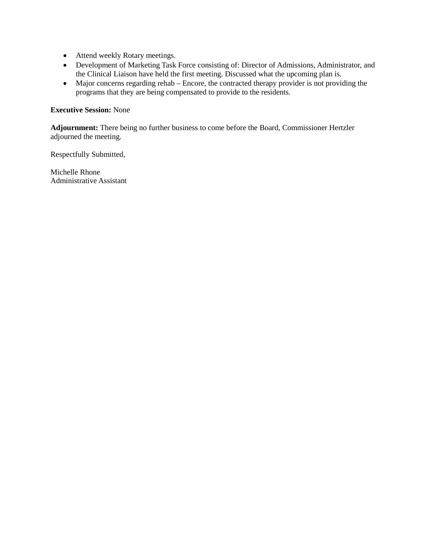- Attend weekly Rotary meetings.
- Development of Marketing Task Force consisting of: Director of Admissions, Administrator, and the Clinical Liaison have held the first meeting. Discussed what the upcoming plan is.
- Major concerns regarding rehab Encore, the contracted therapy provider is not providing the programs that they are being compensated to provide to the residents.

### **Executive Session:** None

**Adjournment:** There being no further business to come before the Board, Commissioner Hertzler adjourned the meeting.

Respectfully Submitted,

Michelle Rhone Administrative Assistant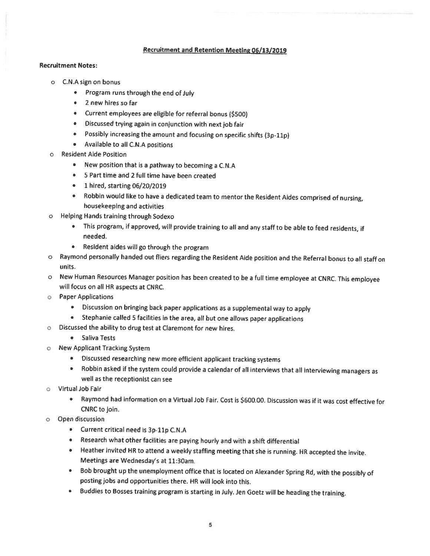#### **Recruitment and Retention Meeting 06/13/2019**

#### **Recruitment Notes:**

- o C.N.A sign on bonus
	- $\blacksquare$ Program runs through the end of July
	- 2 new hires so far
	- Current employees are eligible for referral bonus (\$500)
	- · Discussed trying again in conjunction with next job fair
	- Possibly increasing the amount and focusing on specific shifts (3p-11p)  $\bullet$
	- Available to all C.N.A positions
- **Resident Aide Position** 
	- New position that is a pathway to becoming a C.N.A
	- 5 Part time and 2 full time have been created
	- 1 hired, starting 06/20/2019
	- Robbin would like to have a dedicated team to mentor the Resident Aides comprised of nursing,  $\bullet$ housekeeping and activities
- Helping Hands training through Sodexo  $\circ$ 
	- This program, if approved, will provide training to all and any staff to be able to feed residents, if needed.
	- . Resident aides will go through the program
- o Raymond personally handed out fliers regarding the Resident Aide position and the Referral bonus to all staff on units.
- o New Human Resources Manager position has been created to be a full time employee at CNRC. This employee will focus on all HR aspects at CNRC.
- **O** Paper Applications
	- Discussion on bringing back paper applications as a supplemental way to apply
	- Stephanie called 5 facilities in the area, all but one allows paper applications
- O Discussed the ability to drug test at Claremont for new hires.
	- Saliva Tests
- New Applicant Tracking System  $\circ$ 
	- · Discussed researching new more efficient applicant tracking systems
	- Robbin asked if the system could provide a calendar of all interviews that all interviewing managers as well as the receptionist can see
- o Virtual Job Fair
	- Raymond had information on a Virtual Job Fair. Cost is \$600.00. Discussion was if it was cost effective for  $\bullet$ CNRC to join.
- o Open discussion
	- Current critical need is 3p-11p C.N.A
	- Research what other facilities are paying hourly and with a shift differential
	- Heather invited HR to attend a weekly staffing meeting that she is running. HR accepted the invite. Meetings are Wednesday's at 11:30am.
	- Bob brought up the unemployment office that is located on Alexander Spring Rd, with the possibly of posting jobs and opportunities there. HR will look into this.
	- Buddies to Bosses training program is starting in July. Jen Goetz will be heading the training.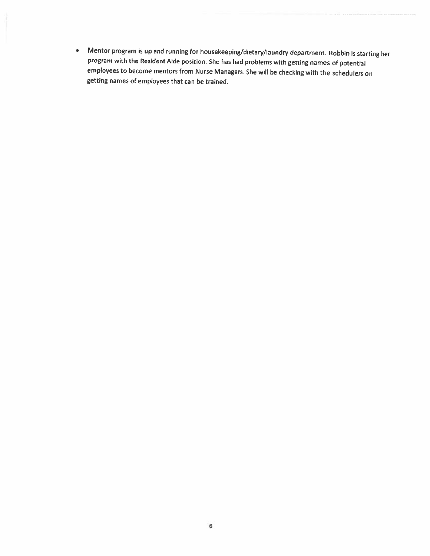• Mentor program is up and running for housekeeping/dietary/laundry department. Robbin is starting her program with the Resident Aide position. She has had problems with getting names of potential employees to become mentors from Nurse Managers. She will be checking with the schedulers on getting names of employees that can be trained.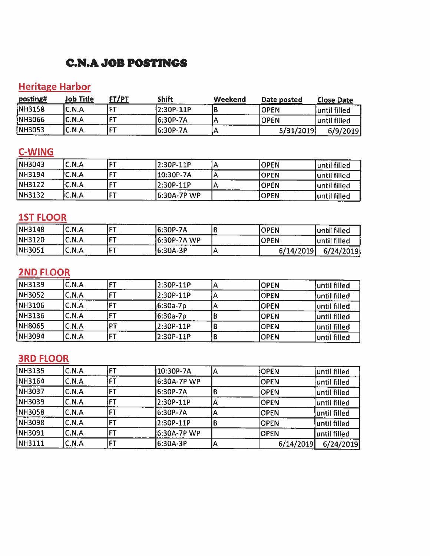### **C.N.A JOB POSTINGS**

# **Heritage Harbor**

| posting#      | <u> Job Title</u> | FT/PT | Shift      | Weekend | Date posted | <b>Close Date</b> |
|---------------|-------------------|-------|------------|---------|-------------|-------------------|
| NH3158        | C.N.A             |       | 12:30P-11P |         | <b>OPEN</b> | until filled      |
| NH3066        | C.N.A             | œт    | 6:30P-7A   |         | IOPEN       | until filled      |
| <b>NH3053</b> | C.N.A             |       | 16:30P-7A  |         | 5/31/2019   | 6/9/2019          |

## C-WING

| NH3043        | C.N.A |      | l2:30P-11P   | <b>IOPEN</b> | luntil filled |
|---------------|-------|------|--------------|--------------|---------------|
| NH3194        | C.N.A | $-1$ | 10:30P-7A    | <b>IOPEN</b> | luntil filled |
| <b>NH3122</b> | C.N.A | --   | l2:30P-11P   | <b>IOPEN</b> | luntil filled |
| NH3132        | C.N.A | IET  | 16:30A-7P WP | <b>IOPEN</b> | luntil filled |

## **1ST FLOOR**

| <b>NH3148</b> | C.N.A | l CT  | 16:30P-7A   | <b>OPEN</b> | until filled |
|---------------|-------|-------|-------------|-------------|--------------|
| <b>NH3120</b> | C.N.A | i mm  | 6:30P-7A WP | <b>OPEN</b> | until filled |
| NH3051        | C.N.A | I C'T | 16:30A-3P   | 6/14/2019   | 6/24/2019    |

## **2ND FLOOR**

| NH3139        | C.N.A |      | 2:30P-11P | <b>OPEN</b> | until filled  |
|---------------|-------|------|-----------|-------------|---------------|
| <b>NH3052</b> | C.N.A |      | 2:30P-11P | IOPEN       | luntil filled |
| NH3106        | C.N.A | דםו  | 6:30a-7p  | <b>OPEN</b> | until filled  |
| NH3136        | C.N.A | FТ   | 6:30a-7p  | <b>OPEN</b> | until filled  |
| <b>NH8065</b> | C.N.A | רס ו | 2:30P-11P | <b>OPEN</b> | luntil filled |
| NH3094        | C.N.A | F1   | 2:30P-11P | <b>OPEN</b> | until filled  |

# **3RD FLOOR**

| NH3135         | C.N.A | 10:30P-7A   | А | OPEN        | luntil filled |
|----------------|-------|-------------|---|-------------|---------------|
| <b>NH3164</b>  | C.N.A | 6:30A-7P WP |   | <b>OPEN</b> | until filled  |
| NH3037         | C.N.A | 6:30P-7A    |   | <b>OPEN</b> | until filled  |
| INH3039        | C.N.A | 2:30P-11P   |   | <b>OPEN</b> | until filled  |
| <b>NH3058</b>  | C.N.A | 6:30P-7A    |   | <b>OPEN</b> | luntil filled |
| <b>INH3098</b> | C.N.A | 2:30P-11P   |   | <b>OPEN</b> | until filled  |
| INH3091        | C.N.A | 6:30A-7P WP |   | <b>OPEN</b> | until filled  |
| <b>NH3111</b>  | C.N.A | 6:30A-3P    |   | 6/14/2019   | 6/24/2019     |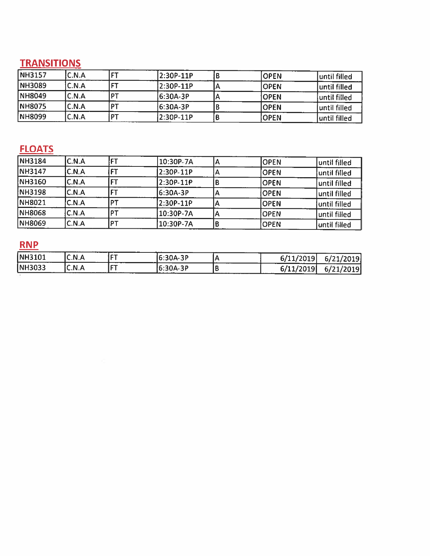# **TRANSITIONS**

| NH3157        | C.N.A | <b>CT</b> | 2:30P-11P | IOPEN       | until filled        |
|---------------|-------|-----------|-----------|-------------|---------------------|
| <b>NH3089</b> | C.N.A | <b>CT</b> | 2:30P-11P | IOPEN       | until filled        |
| <b>NH8049</b> | C.N.A | דס        | 16:30A-3P | <b>OPEN</b> | <b>until filled</b> |
| <b>NH8075</b> | C.N.A |           | 6:30A-3P  | IOPEN       | until filled        |
| NH8099        | C.N.A | DT        | 2:30P-11P | IOPEN       | luntil filled       |

# **FLOATS**

| NH3184        | IC.N.A       |       | 10:30P-7A |   | <b>OPEN</b>  | until filled  |
|---------------|--------------|-------|-----------|---|--------------|---------------|
| NH3147        | C.N.A        |       | 2:30P-11P | A | IOPEN        | until filled  |
| NH3160        | C.N.A        |       | 2.30P-11P |   | <b>OPEN</b>  | until filled  |
| <b>NH3198</b> | C.N.A        |       | 6:30A-3P  |   | <b>OPEN</b>  | until filled  |
| [NH8021       | <b>C.N.A</b> | I D T | 2:30P-11P |   | <b>OPEN</b>  | Juntil filled |
| <b>NH8068</b> | C.N.A        | דפו   | 10:30P-7A |   | <b>OPEN</b>  | until filled  |
| NH8069        | C.N.A        | דס    | 10:30P-7A |   | <b>IOPEN</b> | until filled  |

## $RNP$

| <b>NH3101</b> | C.N.A | IET          | 16:30A-3P |        | 5/11/2019 | 6/21/2019 |
|---------------|-------|--------------|-----------|--------|-----------|-----------|
| NH3033        | C.N.A | lct<br>----- | 6:30A-3P  | ------ | 6/11/2019 | 6/21/2019 |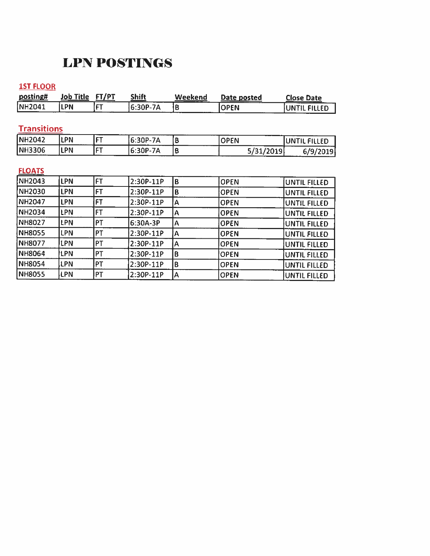# **LPN POSTINGS**

### **1ST FLOOR**

| posting#           | Job Title  | FT/PT     | <b>Shift</b> | Weekend | Date posted | <b>Close Date</b>   |
|--------------------|------------|-----------|--------------|---------|-------------|---------------------|
| NH2041             | LPN        | <b>FT</b> | 6:30P-7A     | B       | <b>OPEN</b> | UNTIL FILLED        |
|                    |            |           |              |         |             |                     |
| <b>Transitions</b> |            |           |              |         |             |                     |
| <b>NH2042</b>      | LPN        | FT        | 6:30P-7A     | B       | <b>OPEN</b> | UNTIL FILLED        |
| <b>NH3306</b>      | LPN        | FT        | 6:30P-7A     | B       | 5/31/2019   | 6/9/2019            |
|                    |            |           |              |         |             |                     |
| <b>FLOATS</b>      |            |           |              |         |             |                     |
| <b>NH2043</b>      | LPN        | <b>FT</b> | 2:30P-11P    | B       | <b>OPEN</b> | UNTIL FILLED        |
| <b>NH2030</b>      | <b>LPN</b> | <b>FT</b> | 2:30P-11P    | B       | <b>OPEN</b> | UNTIL FILLED        |
| <b>NH2047</b>      | <b>LPN</b> | <b>FT</b> | $2:30P-11P$  | A       | <b>OPEN</b> | <b>UNTIL FILLED</b> |
| <b>NH2034</b>      | LPN        | <b>FT</b> | 2:30P-11P    | A       | <b>OPEN</b> | UNTIL FILLED        |
| <b>NH8027</b>      | LPN        | PT        | 6:30A-3P     | A       | <b>OPEN</b> | <b>UNTIL FILLED</b> |
| <b>NH8055</b>      | LPN        | PT        | 2:30P-11P    | Α       | <b>OPEN</b> | UNTIL FILLED        |
| <b>NH8077</b>      | LPN        | PT        | $2:30P-11P$  | A       | <b>OPEN</b> | <b>UNTIL FILLED</b> |
| <b>NH8064</b>      | LPN        | PT        | $2:30P-11P$  | B       | <b>OPEN</b> | <b>UNTIL FILLED</b> |
| <b>NH8054</b>      | LPN        | PT        | 2:30P-11P    | B       | <b>OPEN</b> | <b>UNTIL FILLED</b> |
| <b>NH8055</b>      | LPN        | PT        | 2:30P-11P    | A       | <b>OPEN</b> | UNTIL FILLED        |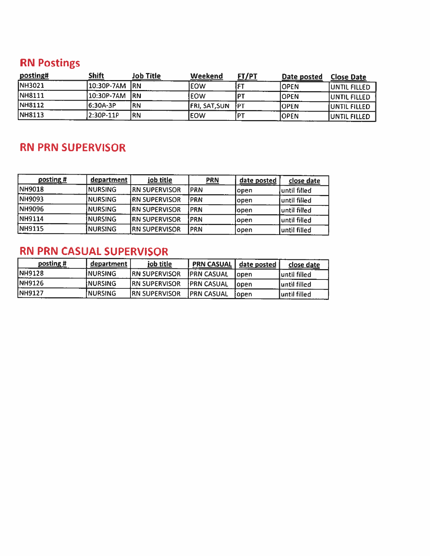# **RN Postings**

| posting#       | <b>Shift</b> | <b>Job Title</b> | Weekend               | <u> FT/PT</u> | Date posted | <b>Close Date</b>    |
|----------------|--------------|------------------|-----------------------|---------------|-------------|----------------------|
| NH3021         | 10:30P-7AM   | IRN.             | leow                  | £T            | IOPEN       | <b>JUNTIL FILLED</b> |
| NH8111         | 10:30P-7AM   | IRN              | <b>EOW</b>            | <b>DT</b>     | IOPEN       | <b>UNTIL FILLED</b>  |
| <b>INH8112</b> | 16:30A-3P    | <b>RN</b>        | <b>JFRI, SAT, SUN</b> | <b>IPT</b>    | IOPEN       | <b>JUNTIL FILLED</b> |
| <b>NH8113</b>  | 2:30P-11P    | 'RN              | leow                  | [PT           | IOPEN       | <b>JUNTIL FILLED</b> |

## **RN PRN SUPERVISOR**

| posting #     | department      | job title             | <b>PRN</b>  | date posted | close date    |
|---------------|-----------------|-----------------------|-------------|-------------|---------------|
| <b>NH9018</b> | NURSING         | <b>IRN SUPERVISOR</b> | <b>IPRN</b> | lopen       | until filled  |
| NH9093        | <b>NURSING</b>  | <b>IRN SUPERVISOR</b> | <b>PRN</b>  | lopen       | luntil filled |
| NH9096        | NURSING         | <b>IRN SUPERVISOR</b> | <b>PRN</b>  | lopen       | until filled  |
| NH9114        | <b>NURSING</b>  | <b>IRN SUPERVISOR</b> | <b>IPRN</b> | lopen       | until filled  |
| <b>NH9115</b> | <b>INURSING</b> | <b>RN SUPERVISOR</b>  | PRN         | open        | until filled  |

# RN PRN CASUAL SUPERVISOR

| posting #      | department | job title             | <b>PRN CASUAL</b>  | date posted | close date    |
|----------------|------------|-----------------------|--------------------|-------------|---------------|
| <b>INH9128</b> | INURSING   | <b>IRN SUPERVISOR</b> | <b>IPRN CASUAL</b> | lopen       | Juntil filled |
| <b>INH9126</b> | INURSING   | <b>IRN SUPERVISOR</b> | <b>IPRN CASUAL</b> | lopen       | Juntil filled |
| <b>NH9127</b>  | INURSING   | <b>IRN SUPERVISOR</b> | <b>IPRN CASUAL</b> | lopen       | Juntil filled |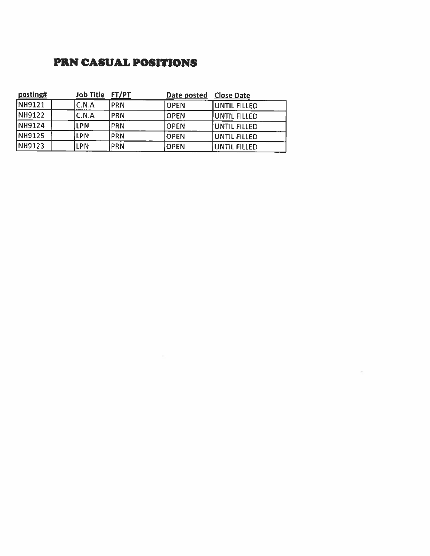### **PRN CASUAL POSITIONS**

| posting#      | <b>Job Title</b> | FT/PT       | Date posted | <b>Close Date</b>    |
|---------------|------------------|-------------|-------------|----------------------|
| NH9121        | C.N.A            | <b>PRN</b>  | <b>OPEN</b> | UNTIL FILLED         |
| NH9122        | C.N.A            | <b>PRN</b>  | <b>OPEN</b> | <b>JUNTIL FILLED</b> |
| NH9124        | LPN              | IPRN        | <b>OPEN</b> | UNTIL FILLED         |
| <b>NH9125</b> | LPN              | <b>IPRN</b> | <b>OPEN</b> | UNTIL FILLED         |
| <b>NH9123</b> | LPN              | PRN!        | <b>OPEN</b> | UNTIL FILLED         |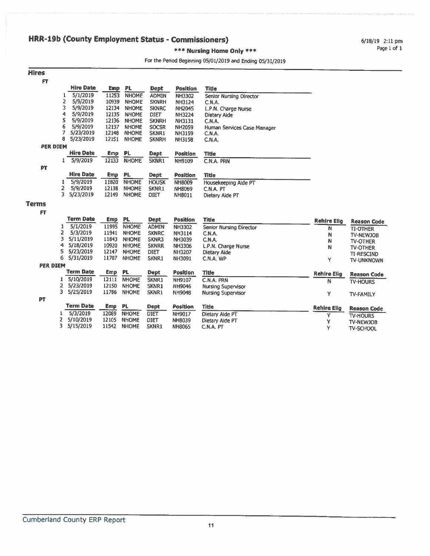6/18/19 2:11 pm Page 1 of 1

### \*\*\* Nursing Home Only \*\*\*

### For the Period Beginning 05/01/2019 and Ending 05/31/2019

| <b>Hires</b> |   |                  |            |              |              |                 |                             |
|--------------|---|------------------|------------|--------------|--------------|-----------------|-----------------------------|
| FT           |   |                  |            |              |              |                 |                             |
|              |   | <b>Hire Date</b> | Emp        | PL.          | <b>Dept</b>  | <b>Position</b> | Title                       |
|              |   | 5/1/2019         | 11253      | <b>NHOME</b> | <b>ADMIN</b> | NH3302          | Senior Nursing Director     |
|              | 2 | 5/9/2019         | 10939      | <b>NHOME</b> | <b>SKNRH</b> | NH3124          | C.N.A.                      |
|              | 3 | 5/9/2019         | 12134      | <b>NHOME</b> | <b>SKNRC</b> | <b>NH2045</b>   | L.P.N. Charge Nurse         |
|              | 4 | 5/9/2019         | 12135      | <b>NHOME</b> | <b>DIET</b>  | <b>NH3224</b>   | Dietary Aide                |
|              | 5 | 5/9/2019         | 12136      | <b>NHOME</b> | <b>SKNRH</b> | <b>NH3131</b>   | C.N.A.                      |
|              | 6 | 5/9/2019         | 12137      | <b>NHOME</b> | <b>SOCSR</b> | <b>NH2059</b>   | Human Services Case Manager |
|              |   | 5/23/2019        | 12148      | <b>NHOME</b> | SKNR1        | <b>NH3159</b>   | C.N.A.                      |
|              | 8 | 5/23/2019        | 12151      | <b>NHOME</b> | <b>SKNRH</b> | <b>NH3158</b>   | C.N.A.                      |
| PER DIEM     |   |                  |            |              |              |                 |                             |
|              |   | Hire Date        | Emp.       | PL           | <b>Dept</b>  | Position        | Title                       |
|              | 1 | 5/9/2019         | 12133      | <b>NHOME</b> | SKNR1        | NH9109          | C.N.A. PRN                  |
| PΤ           |   |                  |            |              |              |                 |                             |
|              |   | <b>Hire Date</b> | <b>Emp</b> | <b>PL</b>    | Dept         | Position        | Title                       |
| 1            |   | 5/9/2019         | 11820      | <b>NHOME</b> | <b>HOUSK</b> | <b>NH8009</b>   | Housekeeping Aide PT        |
| 2            |   | 5/9/2019         | 12138      | <b>NHOME</b> | SKNR1        | NH8069          | C.N.A. PT                   |
| 3            |   | 5/23/2019        | 12149      | <b>NHOME</b> | <b>DIET</b>  | <b>NH8011</b>   | Dietary Aide PT             |

#### **Terms** FT.

| . .             |    |                  |            |              |              |                 |                           |                    |                    |
|-----------------|----|------------------|------------|--------------|--------------|-----------------|---------------------------|--------------------|--------------------|
|                 |    | Term Date        | Emp.       | PL.          | <b>Dept</b>  | Position        | <b>Title</b>              | <b>Rehire Elig</b> | <b>Reason Code</b> |
|                 |    | 5/1/2019         | 11995      | <b>NHOME</b> | <b>ADMIN</b> | <b>NH3302</b>   | Senior Nursing Director   | N                  | <b>TI-OTHER</b>    |
|                 |    | 5/3/2019         | 11941      | <b>NHOME</b> | <b>SKNRC</b> | <b>NH3114</b>   | C.N.A.                    | N                  | <b>TV-NEWJOB</b>   |
|                 |    | 5/11/2019        | 11843      | <b>NHOME</b> | SKNR3        | NH3039          | C.N.A.                    | N                  | <b>TV-OTHER</b>    |
|                 | 4  | 5/18/2019        | 10920      | <b>NHOME</b> | <b>SKNRR</b> | NH3306          | L.P.N. Charge Nurse       | N                  | <b>TV-OTHER</b>    |
|                 | 5. | 5/23/2019        | 12147      | <b>NHOME</b> | <b>DIET</b>  | <b>NH3207</b>   | Dietary Aide              |                    | <b>TI-RESCIND</b>  |
|                 | 6. | 5/31/2019        | 11707      | <b>NHOME</b> | SKNR1        | NH3091          | C.N.A. WP                 | Υ                  | <b>TV-UNKNOWN</b>  |
| <b>PER DIEM</b> |    |                  |            |              |              |                 |                           |                    |                    |
|                 |    | <b>Term Date</b> | <b>Emp</b> | <b>PL</b>    | <b>Dept</b>  | <b>Position</b> | <b>Title</b>              | <b>Rehire Elig</b> | <b>Reason Code</b> |
|                 |    | 5/10/2019        | 12111      | <b>NHOME</b> | SKNR1        | NH9107          | C.N.A. PRN                | N                  | <b>TV-HOURS</b>    |
|                 |    | 5/23/2019        | 12150      | <b>NHOME</b> | SKNR1        | NH9046          | Nursing Supervisor        |                    |                    |
|                 | 3. | 5/25/2019        | 11786      | <b>NHOME</b> | SKNR1        | <b>NH9048</b>   | <b>Nursing Supervisor</b> | Υ                  | <b>TV-FAMILY</b>   |
| <b>PT</b>       |    |                  |            |              |              |                 |                           |                    |                    |
|                 |    | <b>Term Date</b> | <b>Emp</b> | PL.          | <b>Dept</b>  | <b>Position</b> | <b>Title</b>              | <b>Rehire Elig</b> | <b>Reason Code</b> |
|                 |    | 5/3/2019         | 12089      | <b>NHOME</b> | <b>DIET</b>  | NH9017          | Dietary Alde PT           |                    | <b>TV-HOURS</b>    |
|                 |    | 5/10/2019        | 12105      | <b>NHOME</b> | DIET         | <b>NH8039</b>   | Dietary Aide PT           | Y                  | <b>TV-NEWJOB</b>   |
|                 |    | 5/15/2019        | 11542      | <b>NHOME</b> | SKNR1        | <b>NH8065</b>   | C.N.A. PT                 | Y                  | <b>TV-SCHOOL</b>   |
|                 |    |                  |            |              |              |                 |                           |                    |                    |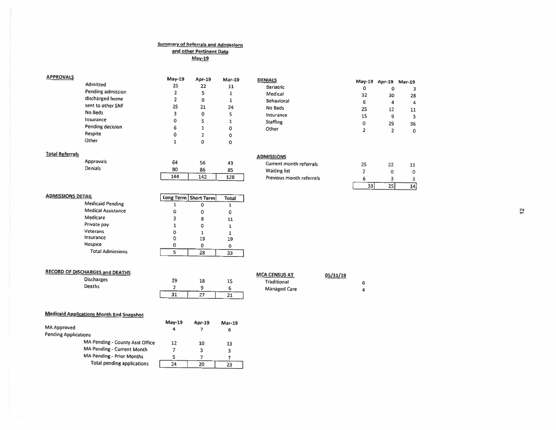### **Summary of Referrals and Admissions** and other Pertinent Data

| APPROVALS |                   | $May-19$ | Apr-19      | <b>Mar-19</b> | <b>DENIALS</b>  |    |                      |         |  |
|-----------|-------------------|----------|-------------|---------------|-----------------|----|----------------------|---------|--|
|           | Admitted          | 25       | 22          | 11            | Bariatric       | 0  | May-19 Apr-19 Mar-19 |         |  |
|           | Pending admission |          |             |               | Medical         | 32 | o<br>30              |         |  |
|           | discharged home   |          | 0           |               | Behavioral      | 6  |                      | 28<br>4 |  |
|           | sent to other SNF | 25       | 21          | 24            | No Beds         | 25 | 12                   |         |  |
|           | No Beds           |          | $\mathbf 0$ |               | Insurance       | 15 |                      | 11      |  |
|           | Insurance         |          |             |               | <b>Staffing</b> | 0  | 29                   |         |  |
|           | Pending decision  | 6        |             | o             | Other           |    |                      | 36<br>0 |  |
|           | Respite           |          |             | ο             |                 |    |                      |         |  |
|           | Other             |          | $\Omega$    | $\sim$        |                 |    |                      |         |  |

Total  $\overline{1}$ 

> $\bullet$ 11  $\mathbf{1}$  $\mathbf{1}$ 19  $\circ$  $\overline{33}$

#### **Total Referrals**

Approvals Denials

| 64  | 56  | 43  |
|-----|-----|-----|
| 80  | 86  | 85  |
| 144 | 142 | 128 |

| <b>ADMISSIONS</b>              |  |
|--------------------------------|--|
| <b>Current month referrals</b> |  |
| <b>Waiting list</b>            |  |
| Previous month referrals       |  |
|                                |  |

 $2\sqrt{2}$ 

 $\circ$ 

 $\overline{3}$ 

 $\overline{25}$ 

11

 $\circ$ 

 $\mathfrak{Z}$ 

 $14$ 

| <b>ADMISSIONS DETAIL</b>  |   | Long Term   Short Term |
|---------------------------|---|------------------------|
| <b>Medicaid Pending</b>   |   |                        |
| <b>Medical Assistance</b> | 0 | 0                      |
| Medicare                  | 3 | 8                      |
| Private pay               |   | 0                      |
| Veterans                  | 0 |                        |
| Insurance                 | o | 19                     |
| Hospice                   | o |                        |
| <b>Total Admissions</b>   |   | 28                     |

| <b>RECORD OF DISCHARGES and DEATHS</b> |    |    |          | <b>MCA CENSUS AT</b> | 05/31/19 |  |
|----------------------------------------|----|----|----------|----------------------|----------|--|
| <b>Discharges</b>                      | 29 | 18 | 고그       | Traditional          |          |  |
| Deaths                                 |    |    |          | <b>Managed Care</b>  |          |  |
|                                        | 31 | 27 | n.<br>44 |                      |          |  |

### **Medicaid Applications Month End Snapshot**

|                             |                                   | $May-19$ | Apr-19 | <b>Mar-19</b> |
|-----------------------------|-----------------------------------|----------|--------|---------------|
| <b>MA Approved</b>          |                                   | 4        |        | 6             |
| <b>Pending Applications</b> |                                   |          |        |               |
|                             | MA Pending - County Asst Office   | 12       | 10     | 13            |
|                             | <b>MA Pending - Current Month</b> |          |        | з             |
|                             | MA Pending - Prior Months         |          |        |               |
|                             | <b>Total pending applications</b> | 24       |        |               |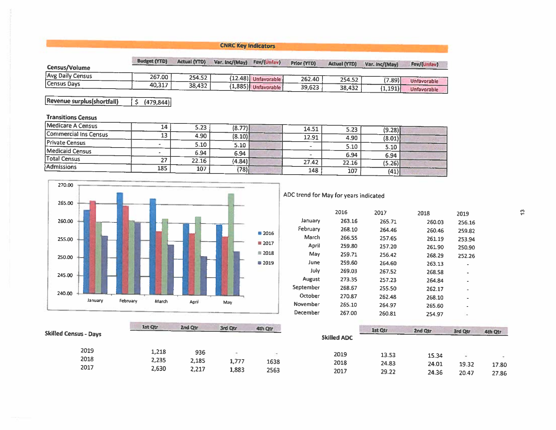### **CNRC Key Indicators**

| Census/Volume    | <b>Budget (YTD)</b> | <b>Actual (YTD)</b> | Var. Inc/(May) | Fav/(Unfav)           | <b>Prior (YTD)</b> | <b>Actual (YTD)</b> | Var. Inc/(May) | Fav/(Unfav         |
|------------------|---------------------|---------------------|----------------|-----------------------|--------------------|---------------------|----------------|--------------------|
| Avg Daily Census | 267.00              | 254.52              |                | (12.48) Unfavorable   | 262.40             | 254.52              | $'7.89$ i      | <b>Unfavorable</b> |
| Census Days      | 40.317              | 38.432              |                | $(1,885)$ Unfavorable | 39,623             | 38,432              | (1,191)        | Unfavorable        |

Revenue surplus(shortfall)  $\frac{1}{5}$  (479,844)

### **Transitions Census**

| Medicare A Census     | 14  | 5.23  | (8.77) | 14.51                    |       |        |  |
|-----------------------|-----|-------|--------|--------------------------|-------|--------|--|
| Commercial Ins Census | 13  | 4.90  |        |                          | 5.23  | (9.28) |  |
|                       |     |       | (8.10) | 12.91                    | 4.90  | (8.01) |  |
| <b>Private Census</b> |     | 5.10  | 5.10   | $\overline{\phantom{a}}$ | 5.10  | 5.10   |  |
| Medicaid Census       |     | 6.94  | 6.94   |                          | 6.94  | 6.94   |  |
| <b>Total Census</b>   | 27  | 22.16 | (4.84) | 27.42                    |       |        |  |
| Admissions            |     |       |        |                          | 22.16 | (5.26) |  |
|                       | 185 | 107   | (78)   | 148                      | 107   | (41)   |  |



ADC trend for May for years indicated

|           | 2016   | 2017   | 2018   | 2019   |
|-----------|--------|--------|--------|--------|
| January   | 263.16 | 265.71 | 260.03 | 256.16 |
| February  | 268.10 | 264.46 | 260.46 | 259.82 |
| March     | 266.55 | 257.65 | 261.19 | 253.94 |
| April     | 259.80 | 257.20 | 261.90 | 250.90 |
| May       | 259.71 | 256.42 | 268.29 | 252.26 |
| June      | 259.60 | 264.60 | 263.13 | ٠      |
| July      | 269.03 | 267.52 | 268.58 | ٠      |
| August    | 273.35 | 257.23 | 264.84 | ۰      |
| September | 268.67 | 255.50 | 262.17 | ٠      |
| October   | 270.87 | 262.48 | 268.10 | ٠      |
| November  | 265.10 | 264.97 | 265.60 | ٠      |
| December  | 267.00 | 260.81 | 254.97 | ٠      |

|                              | 1st Qtr        | 2nd Qtr        | 3rd Qtr        | 4th Qtr      |                    | 1st Qtr        | 2nd Qtr        | 3rd Qtr        | 4th Qtr        |
|------------------------------|----------------|----------------|----------------|--------------|--------------------|----------------|----------------|----------------|----------------|
| <b>Skilled Census - Days</b> |                |                |                |              | <b>Skilled ADC</b> |                |                |                |                |
| 2019                         | 1,218          | 936            |                |              | 2019               | 13.53          | 15.34          |                |                |
| 2018<br>2017                 | 2,235<br>2,630 | 2,185<br>2,217 | 1,777<br>1,883 | 1638<br>2563 | 2018<br>2017       | 24.83<br>29.22 | 24.01<br>24.36 | 19.32<br>20.47 | 17.80<br>27.86 |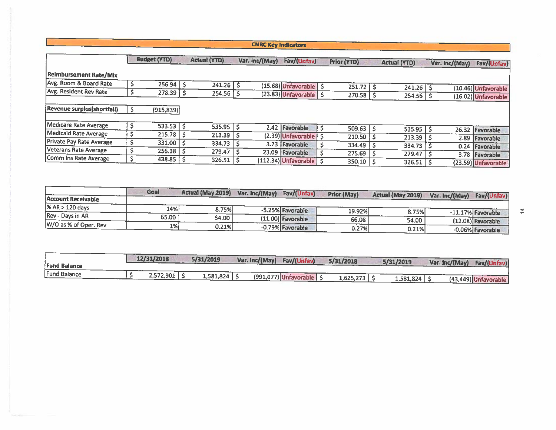**CNRC Key Indicators** 

|                                 | <b>Budget (YTD)</b> |     | <b>Actual (YTD)</b> | Var. inc/(May) | Fav/(Unfav)                     | Prior (YTD)      | <b>Actual (YTD)</b> | Var. Inc/(May) | Fav/(Unfav)                                |
|---------------------------------|---------------------|-----|---------------------|----------------|---------------------------------|------------------|---------------------|----------------|--------------------------------------------|
| Reimbursement Rate/Mix          |                     |     |                     |                |                                 |                  |                     |                |                                            |
| Avg. Room & Board Rate          | $256.94$ \$         |     | 241.26              |                | (15.68) Unfavorable   \$        | 251.72           | 241.26              |                |                                            |
| Avg. Resident Rev Rate          | $278.39$   \$       |     | 254.56              |                | $(23.83)$ Unfavorable $\int$ \$ | 270.58           | 254.56              |                | (10.46) Unfavorable<br>(16.02) Unfavorable |
| Revenue surplus(shortfall)      | (915, 839)          |     |                     |                |                                 |                  |                     |                |                                            |
| Medicare Rate Average           | 533.53              | - S | 535.95              |                | 2.42 Favorable                  | 509.63           | 535.95              |                | 26.32 Favorable                            |
| Medicaid Rate Average           | 215.78              |     | 213.39              |                | (2.39) Unfavorable   \$         | 210.50           | 213.39              |                |                                            |
| <b>Private Pay Rate Average</b> | 331.00              |     | 334.73              | 3.73           | Favorable                       | 334.49           |                     | 2.89           | Favorable                                  |
| Veterans Rate Average           | 256.38              | -Ŝ  | 279.47              | 23.09          | Favorable                       |                  | 334.73              | 0.24           | Favorable                                  |
| Comm Ins Rate Average           | 438.85              |     | 326.51              |                | (112.34) Unfavorable   \$       | 275.69<br>350.10 | 279.47<br>326.51    | 3.78           | Favorable<br>(23.59) Unfavorable           |

|                       | Goal  | Actual (May 2019) | Var. Inc/(May) | Fav/(Unfav)         | <b>Prior (May)</b> | Actual (May 2019) | Fav/(Unfav)<br>Var. Inc/(May) |
|-----------------------|-------|-------------------|----------------|---------------------|--------------------|-------------------|-------------------------------|
| Account Receivable    |       |                   |                |                     |                    |                   |                               |
| % AR > 120 days       | 14%   | 8.75%             |                | -5.25% Favorable    | 19.92%             |                   |                               |
| Rev - Days in AR      | 65.00 | 54.00             |                | $(11.00)$ Favorable |                    | 8.75%             | -11.17% Favorable             |
| W/O as % of Oper. Rev |       |                   |                |                     | 66.08              | 54.00             | $(12.08)$ Favorable           |
|                       | 1%    | 0.21%             |                | $-0.79%$ Favorable  | 0.27%              | 0.21%             | -0.06% Favorable              |

| <b>Fund Balance</b> | 12/31/2018 | 5/31/2019 | Var. Inc/(May) | Fav/(Unfav)             | 5/31/2018 | 5/31/2019 | Var. Inc/(May) | Fav/(Unfav)          |
|---------------------|------------|-----------|----------------|-------------------------|-----------|-----------|----------------|----------------------|
| Fund Balance        | 2,572,901  | 1,581,824 |                | $(991,077)$ Unfavorable | 1,625.273 | 1,581,824 |                | (43,449) Unfavorable |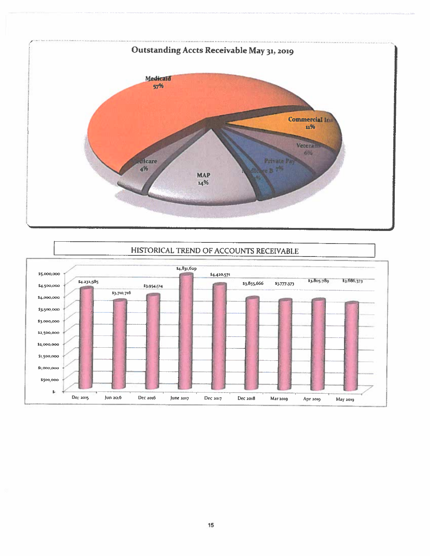

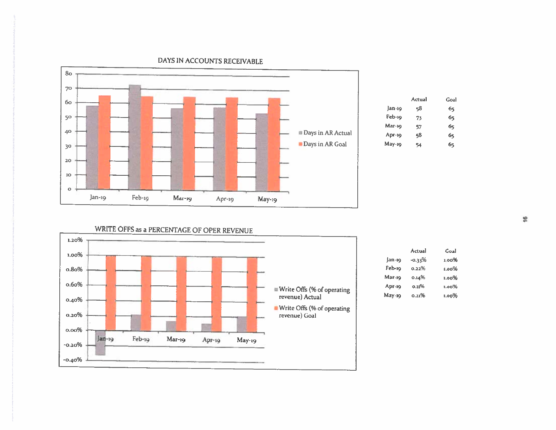

|          | Actual | Goal |
|----------|--------|------|
| Jan-19   | 58     | 65   |
| Feb-19   | 73     | 65   |
| Маг-19   | 57     | б5   |
| $Apr-1Q$ | 58     | 65   |
| May-19   | 54     | 65   |

WRITE OFFS as a PERCENTAGE OF OPER REVENUE



|          | Actual    | Goal  |
|----------|-----------|-------|
| Jan-19   | $-0.33\%$ | 1.00% |
| Feb-19   | 0.22%     | 1.00% |
| Mar-19   | 0.14%     | 1.00% |
| Apr-19   | 0.11%     | 1.00% |
| $May-19$ | 0.21%     | ഥാവ%  |

DAYS IN ACCOUNTS RECEIVABLE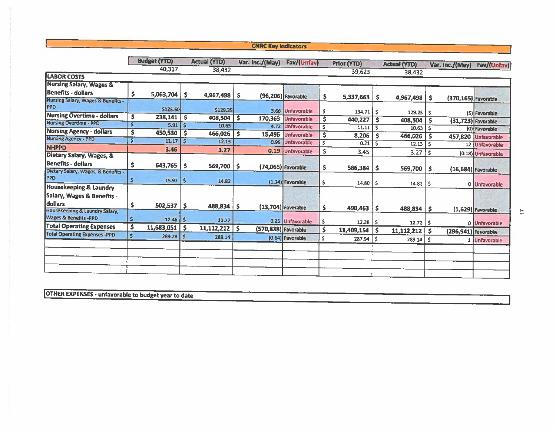### **CNRC Key Indicators**

|                                                                         |    | <b>Budget (YTD)</b> |              | <b>Actual (YTD)</b> |    | Var. Inc./(May)     | Fav/(Unfav)          |     | Prior (YTD)   |                 | <b>Actual (YTD)</b> |    | Var. Inc./(May)      | Fav/(Unfav)         |
|-------------------------------------------------------------------------|----|---------------------|--------------|---------------------|----|---------------------|----------------------|-----|---------------|-----------------|---------------------|----|----------------------|---------------------|
|                                                                         |    | 40,317              |              | 38,432              |    |                     |                      |     | 39,623        |                 | 38,432              |    |                      |                     |
| <b>LABOR COSTS</b>                                                      |    |                     |              |                     |    |                     |                      |     |               |                 |                     |    |                      |                     |
| <b>Nursing Salary, Wages &amp;</b>                                      |    |                     |              |                     |    |                     |                      |     |               |                 |                     |    |                      |                     |
| <b>Benefits - dollars</b>                                               | Ş  | 5,063,704           | \$           | 4,967,498           | \$ |                     | (96,206) Favorable   | s   | 5,337,663     | -S              | 4,967,498           |    |                      |                     |
| Nursing Salary, Wages & Benefits -<br>PPD                               |    | \$125.60            |              | \$129.25            |    |                     | 3.66 Unfavorable     |     | $134.71$   \$ |                 | 129.25              | -S | (370,165) Favorable  |                     |
| <b>Nursing Overtime - dollars</b>                                       | \$ | 238,141             | -S           | 408,504             | \$ | 170,363             | Unfavorable          |     | 440,227       | s               |                     | Ŝ. |                      | (5) Favorable       |
| <b>Nursing Overtime - PPD</b>                                           | S  | $5.91$ $\mid$ \$    |              | 10.63               |    | 4.72                | Unfavorable          |     | 11.11         | -\$             | 408,504             | s  | $(31,723)$ Favorable |                     |
| <b>Nursing Agency - dollars</b>                                         | \$ | 450,530             | S            | 466,026             | \$ | 15,496              | Unfavorable          |     | 8,206         | \$              | 10.63               | -S |                      | (0) Favorable       |
| <b>Nursing Agency - PPD</b>                                             | Ś  | 11.17               | $\mathsf{S}$ | 12.13               |    |                     | 0.95 Unfavorable     |     | 0.21          | -Ś              | 466,026             |    |                      | 457,820 Unfavorable |
| <b>NHPPD</b>                                                            |    | 3.46                |              | 3.27                |    | 0.19                | Unfavorable          |     |               |                 | 12.13               | -Ś |                      | 12 Unfavorable      |
| Dietary Salary, Wages, &                                                |    |                     |              |                     |    |                     |                      | \$  | 3.45          |                 | 3.27                | \$ |                      | (0.18) Unfavorable  |
| <b>Benefits - dollars</b>                                               | \$ | $643,765$ \$        |              | $569,700$   \$      |    |                     | $(74,065)$ Favorable | \$. | 586,384       | -\$             | $569,700$   \$      |    |                      |                     |
| Dietary Salary, Wages, & Benefits -<br>PPD                              | \$ | 15.97               | \$           | 14.82               |    |                     | $(1.14)$ Favorable   | -Ś. | 14.80         | -S              |                     |    | $(16,684)$ Favorable |                     |
| Housekeeping & Laundry                                                  |    |                     |              |                     |    |                     |                      |     |               |                 | 14.82               | -S |                      | 0 Unfavorable       |
| Salary, Wages & Benefits -<br>dollars<br>Housekeeping & Laundry Salary, | \$ | $502,537$ \$        |              | 488,834             | -S |                     | (13,704) Favorable   | \$  | 490,463       | -S              | 488,834             | \$ |                      | $(1,629)$ Favorable |
| Wages & Benefits -PPD                                                   | \$ | $12.46$   S         |              | 12.72               |    |                     | 0.25 Unfavorable     | \$  | 12.38         | -S              | $12.72$   \$        |    |                      | 0 Unfavorable       |
| <b>Total Operating Expenses</b>                                         | \$ | 11,683,051          | - 5          | 11, 112, 212        | Ŝ. | (570,838) Favorable |                      | \$  | 11,409,154    | $\ddot{\bm{s}}$ | 11,112,212          | .s | (296,941) Favorable  |                     |
| <b>Total Operating Expenses -PPD</b>                                    | \$ | $289.78$ \$         |              | 289.14              |    |                     | (0.64) Favorable     | S.  | 287.94        | \$              | $289.14$ \$         |    |                      | 1 Unfavorable       |
|                                                                         |    |                     |              |                     |    |                     |                      |     |               |                 |                     |    |                      |                     |
|                                                                         |    |                     |              |                     |    |                     |                      |     |               |                 |                     |    |                      |                     |
|                                                                         |    |                     |              |                     |    |                     |                      |     |               |                 |                     |    |                      |                     |

OTHER EXPENSES - unfavorable to budget year to date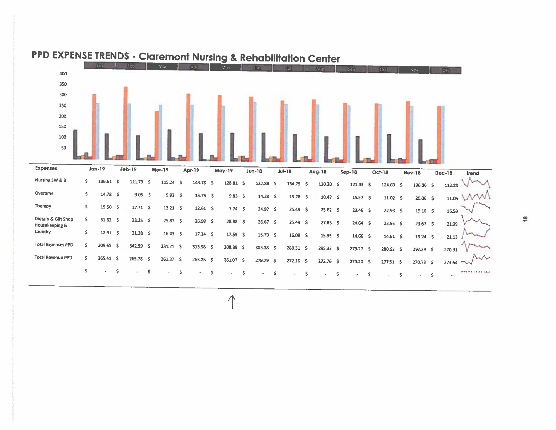

# PPD EXPENSE TRENDS - Claremont Nursing & Rehabilitation Center

 $\frac{18}{2}$ 

 $\Lambda$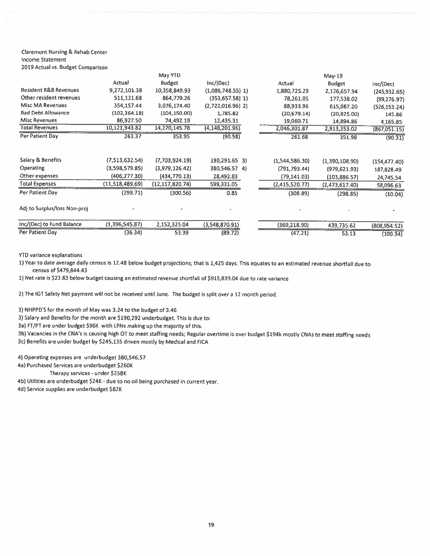#### **Claremont Nursing & Rehab Center Income Statement** 2019 Actual vs. Budget Comparison

|                                  |                 | May YTD           |                     |                | $May-19$       |                |
|----------------------------------|-----------------|-------------------|---------------------|----------------|----------------|----------------|
|                                  | Actual          | <b>Budget</b>     | Inc/(Dec)           | Actual         | <b>Budget</b>  | nc/(Dec)       |
| <b>Resident R&amp;B Revenues</b> | 9,272,101.38    | 10,358,849.93     | $(1,086,748.55)$ 1) | 1,880,725.29   | 2,126,657.94   | (245, 932.65)  |
| Other resident revenues          | 511,121.68      | 864,779.26        | $(353,657.58)$ 1)   | 78,261.05      | 177,538.02     | (99, 276.97)   |
| <b>Misc MA Revenues</b>          | 354,157.44      | 3,076,174.40      | $(2,722,016.96)$ 2) | 88,933.96      | 615,087.20     | (526, 153, 24) |
| <b>Bad Debt Allowance</b>        | (102, 364, 18)  | (104, 150.00)     | 1,785.82            | (20, 679.14)   | (20,825.00)    | 145.86         |
| <b>Misc Revenues</b>             | 86,927.50       | 74,492.19         | 12,435.31           | 19,060.71      | 14,894.86      | 4,165.85       |
| <b>Total Revenues</b>            | 10,121,943.82   | 14,270,145.78     | (4, 148, 201.96)    | 2,046,301.87   | 2,913,353.02   | (867,051.15)   |
| Per Patient Day                  | 263.37          | 353.95            | (90.58)             | 261.68         | 351.98         | (90.31)        |
| <b>Salary &amp; Benefits</b>     | (7,513,632.54)  | (7,703,924.19)    | 190,291.65 3)       | (1,544,586.30) | (1,390,108.90) | (154, 477.40)  |
| Operating                        | (3,598,579.85)  | (3,979,126.42)    | 380,546.57 4)       | (791, 793.44)  | (979, 621.93)  | 187,828.49     |
| Other expenses                   | (406, 277.30)   | (434,770.13)      | 28,492.83           | (79, 141.03)   | (103, 886.57)  | 24,745.54      |
| <b>Total Expenses</b>            | (11,518,489,69) | (12, 117, 820.74) | 599,331.05          | (2,415,520.77) | (2,473,617.40) | 58,096.63      |
| Per Patient Day                  | (299.71)        | (300.56)          | 0.85                | (308.89)       | (298.85)       | (10.04)        |
| Adj to Surplus/loss Non-proj     |                 |                   |                     |                |                |                |
| Inc/(Dec) to Fund Balance        | (1,396,545.87)  | 2,152,325.04      | (3,548,870.91)      | (369, 218.90)  | 439,735.62     | (808, 954.52)  |
| Per Patient Day                  | (36.34)         | 53.39             | (89.72)             | (47.21)        | 53.13          | (100.34)       |

**YTD variance explanations** 

1) Year to date average daily census is 12.48 below budget projections; that is 1,425 days. This equates to an estimated revenue shortfall due to census of \$479,844.43

1) Net rate is \$23.83 below budget causing an estimated revenue shortfall of \$915,839.04 due to rate variance

2) The IGT Safety Net payment will not be received until June. The budget is split over a 12 month period.

3) NHPPD'S for the month of May was 3.24 to the budget of 3.46

3) Salary and Benefits for the month are \$190,292 underbudget. This is due to:

3a) FT/PT are under budget \$96K with LPNs making up the majority of this.

3b) Vacancies in the CNA's is causing high OT to meet staffing needs; Regular overtime is over budget \$194k mostly CNAs to meet staffing needs 3c) Benefits are under budget by \$245,135 driven mostly by Medical and FICA

4) Operating expenses are underbudget 380,546.57

4a) Purchased Services are underbudget \$260K

Therapy services - under \$258K

4b) Utilities are underbudget \$24K - due to no oil being purchased in current year.

4d) Service supplies are underbudget \$82K